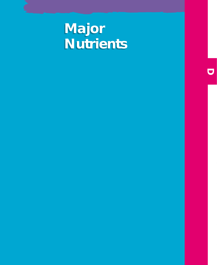## **Major Major Nutrients Nutrients**

**D**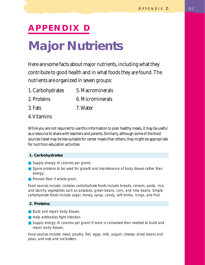# **APPENDIX D Major Nutrients**

Here are some facts about major nutrients, including what they contribute to good health and in what foods they are found. The nutrients are organized in seven groups:

| 1. Carbohydrates | 5. Macrominerals |
|------------------|------------------|
| 2. Proteins      | 6. Microminerals |
| 3. Fats          | 7. Water         |

## 4.Vitamins

While you are not required to use this information to plan healthy meals, it may be useful as a resource to share with teachers and parents. Similarly, although some of the food sources listed may be less suitable for center meals than others, they might be appropriate for nutrition education activities.

## **1. Carbohydrates**

- Supply energy (4 calories per gram).
- Spare proteins to be used for growth and maintenance of body tissues rather than energy.
- Provide fiber if whole grain.

*Food sources include: complex carbohydrate foods* include breads, cereals, pasta, rice, and starchy vegetables such as potatoes, green beans, corn, and lima beans. *Simple carbohydrate foods* include sugar, honey, syrup, candy, soft drinks, icings, and fruit.

## **2. Proteins**

- Build and repair body tissues.
- Help antibodies fight infection.
- Supply energy (4 calories per gram) if more is consumed than needed to build and repair body tissues.

*Food sources include:* meat, poultry, fish, eggs, milk, yogurt, cheese, dried beans and peas, and nuts and nut butters.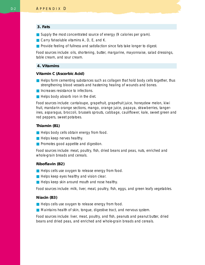### **3. Fats**

- Supply the most concentrated source of energy (9 calories per gram).
- Carry fat-soluble vitamins A, D, E, and K.
- Provide feeling of fullness and satisfaction since fats take longer to digest.

*Food sources include:* oils, shortening, butter, margarine, mayonnaise, salad dressings, table cream, and sour cream.

## **4. Vitamins**

## **Vitamin C (Ascorbic Acid)**

- Helps form cementing substances such as collagen that hold body cells together, thus strengthening blood vessels and hastening healing of wounds and bones.
- Increases resistance to infections.
- Helps body absorb iron in the diet.

*Food sources include:* cantaloupe, grapefruit, grapefruit juice, honeydew melon, kiwi fruit, mandarin orange sections, mango, orange juice, papaya, strawberries, tangerines, asparagus, broccoli, brussels sprouts, cabbage, cauliflower, kale, sweet green and red peppers, sweet potatoes.

## **Thiamin (B1)**

- Helps body cells obtain energy from food.
- Helps keep nerves healthy.
- Promotes good appetite and digestion.

*Food sources include:* meat, poultry, fish, dried beans and peas, nuts, enriched and whole-grain breads and cereals.

## **Riboflavin (B2)**

- Helps cells use oxygen to release energy from food.
- Helps keep eyes healthy and vision clear.
- Helps keep skin around mouth and nose healthy.

*Food sources include:* milk, liver, meat, poultry, fish, eggs, and green leafy vegetables.

## **Niacin (B3)**

- Helps cells use oxygen to release energy from food.
- Maintains health of skin, tongue, digestive tract, and nervous system.

*Food sources include:* liver, meat, poultry, and fish, peanuts and peanut butter, dried beans and dried peas, and enriched and whole-grain breads and cereals.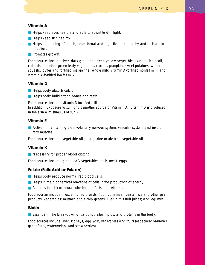## **Vitamin A**

- Helps keep eyes healthy and able to adjust to dim light.
- Helps keep skin healthy.
- Helps keep lining of mouth, nose, throat and digestive tract healthy and resistant to infection.
- Promotes growth.

*Food sources include:* liver, dark green and deep yellow vegetables (such as broccoli, collards and other green leafy vegetables, carrots, pumpkin, sweet potatoes, winter squash), butter and fortified margarine, whole milk, vitamin A-fortified nonfat milk, and vitamin A-fortified lowfat milk.

## **Vitamin D**

- Helps body absorb calcium.
- Helps body build strong bones and teeth.

*Food sources include:* vitamin D-fortified milk.

*In addition:* Exposure to sunlight is another source of Vitamin D. (Vitamin D is produced in the skin with stimulus of sun.)

#### **Vitamin E**

■ Active in maintaining the involuntary nervous system, vascular system, and involuntary muscles.

*Food sources include:* vegetable oils, margarine made from vegetable oils.

## **Vitamin K**

■ Necessary for proper blood clotting.

*Food sources include:* green leafy vegetables, milk, meat, eggs.

## **Folate (Folic Acid or Folacin)**

- Helps body produce normal red blood cells.
- Helps in the biochemical reactions of cells in the production of energy.
- Reduces the risk of neural tube birth defects in newborns.

*Food sources include:* most enriched breads, flour, corn meal, pasta, rice and other grain products; vegetables; mustard and turnip greens; liver; citrus fruit juices; and legumes.

## **Biotin**

■ Essential in the breakdown of carbohydrates, lipids, and proteins in the body.

*Food sources include:* liver, kidneys, egg yolk, vegetables and fruits (especially bananas, grapefruits, watermelon, and strawberries).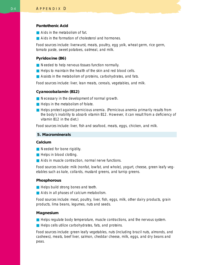## **Pantothenic Acid**

- Aids in the metabolism of fat.
- Aids in the formation of cholesterol and hormones.

*Food sources include:* liverwurst, meats, poultry, egg yolk, wheat germ, rice germ, tomato paste, sweet potatoes, oatmeal, and milk.

## **Pyridoxine (B6)**

- Needed to help nervous tissues function normally.
- Helps to maintain the health of the skin and red blood cells.
- Assists in the metabolism of proteins, carbohydrates, and fats.

*Food sources include:* liver, lean meats, cereals, vegetables, and milk.

## **Cyanocobalamin (B12)**

- Necessary in the development of normal growth.
- Helps in the metabolism of folate.
- Helps protect against pernicious anemia. (Pernicious anemia primarily results from the body's inability to absorb vitamin B12. However, it can result from a deficiency of vitamin B12 in the diet.)

*Food sources include:* liver, fish and seafood, meats, eggs, chicken, and milk.

## **5. Macrominerals**

## **Calcium**

- Needed for bone rigidity.
- Helps in blood clotting.
- Aids in muscle contraction, normal nerve functions.

*Food sources include:* milk (nonfat, lowfat, and whole), yogurt, cheese, green leafy vegetables such as kale, collards, mustard greens, and turnip greens.

## **Phosphorous**

- Helps build strong bones and teeth.
- Aids in all phases of calcium metabolism.

*Food sources include:* meat, poultry, liver, fish, eggs, milk, other dairy products, grain products, lima beans, legumes, nuts and seeds.

## **Magnesium**

- Helps regulate body temperature, muscle contractions, and the nervous system.
- Helps cells utilize carbohydrates, fats, and proteins.

*Food sources include:* green leafy vegetables, nuts (including brazil nuts, almonds, and cashews), meats, beef liver, salmon, cheddar cheese, milk, eggs, and dry beans and peas.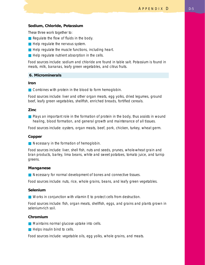#### **Sodium, Chloride, Potassium**

*These three work together to:*

- Regulate the flow of fluids in the body.
- Help regulate the nervous system.
- Help regulate the muscle functions, including heart.
- Help regulate nutrient absorption in the cells.

*Food sources include:* sodium and chloride are found in table salt. Potassium is found in meats, milk, bananas, leafy green vegetables, and citrus fruits.

## **6. Microminerals**

#### **Iron**

■ Combines with protein in the blood to form hemoglobin.

*Food sources include:* liver and other organ meats, egg yolks, dried legumes, ground beef, leafy green vegetables, shellfish, enriched breads, fortified cereals.

## **Zinc**

■ Plays an important role in the formation of protein in the body, thus assists in wound healing, blood formation, and general growth and maintenance of all tissues.

*Food sources include:* oysters, organ meats, beef, pork, chicken, turkey, wheat germ.

#### **Copper**

■ Necessary in the formation of hemoglobin.

*Food sources include:* liver, shell fish, nuts and seeds, prunes, whole-wheat grain and bran products, barley, lima beans, white and sweet potatoes, tomato juice, and turnip greens.

#### **Manganese**

■ Necessary for normal development of bones and connective tissues.

*Food sources include:* nuts, rice, whole grains, beans, and leafy green vegetables.

#### **Selenium**

■ Works in conjunction with vitamin E to protect cells from destruction.

*Food sources include:* fish, organ meats, shellfish, eggs, and grains and plants grown in selenium-rich soil.

## **Chromium**

- Maintains normal glucose uptake into cells.
- Helps insulin bind to cells.

*Food sources include:* vegetable oils, egg yolks, whole grains, and meats.